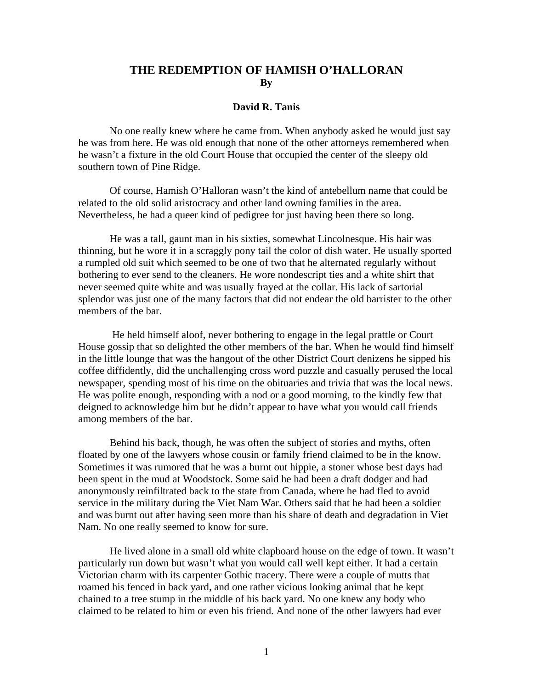## **THE REDEMPTION OF HAMISH O'HALLORAN By**

## **David R. Tanis**

No one really knew where he came from. When anybody asked he would just say he was from here. He was old enough that none of the other attorneys remembered when he wasn't a fixture in the old Court House that occupied the center of the sleepy old southern town of Pine Ridge.

 Of course, Hamish O'Halloran wasn't the kind of antebellum name that could be related to the old solid aristocracy and other land owning families in the area. Nevertheless, he had a queer kind of pedigree for just having been there so long.

 He was a tall, gaunt man in his sixties, somewhat Lincolnesque. His hair was thinning, but he wore it in a scraggly pony tail the color of dish water. He usually sported a rumpled old suit which seemed to be one of two that he alternated regularly without bothering to ever send to the cleaners. He wore nondescript ties and a white shirt that never seemed quite white and was usually frayed at the collar. His lack of sartorial splendor was just one of the many factors that did not endear the old barrister to the other members of the bar.

 He held himself aloof, never bothering to engage in the legal prattle or Court House gossip that so delighted the other members of the bar. When he would find himself in the little lounge that was the hangout of the other District Court denizens he sipped his coffee diffidently, did the unchallenging cross word puzzle and casually perused the local newspaper, spending most of his time on the obituaries and trivia that was the local news. He was polite enough, responding with a nod or a good morning, to the kindly few that deigned to acknowledge him but he didn't appear to have what you would call friends among members of the bar.

Behind his back, though, he was often the subject of stories and myths, often floated by one of the lawyers whose cousin or family friend claimed to be in the know. Sometimes it was rumored that he was a burnt out hippie, a stoner whose best days had been spent in the mud at Woodstock. Some said he had been a draft dodger and had anonymously reinfiltrated back to the state from Canada, where he had fled to avoid service in the military during the Viet Nam War. Others said that he had been a soldier and was burnt out after having seen more than his share of death and degradation in Viet Nam. No one really seemed to know for sure.

He lived alone in a small old white clapboard house on the edge of town. It wasn't particularly run down but wasn't what you would call well kept either. It had a certain Victorian charm with its carpenter Gothic tracery. There were a couple of mutts that roamed his fenced in back yard, and one rather vicious looking animal that he kept chained to a tree stump in the middle of his back yard. No one knew any body who claimed to be related to him or even his friend. And none of the other lawyers had ever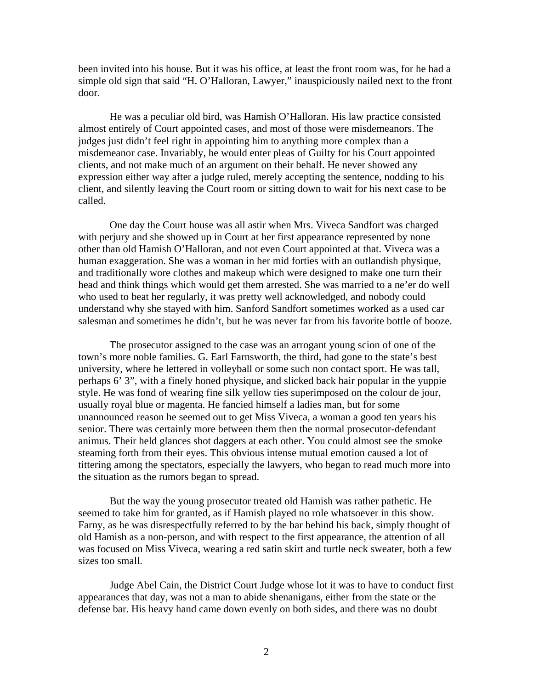been invited into his house. But it was his office, at least the front room was, for he had a simple old sign that said "H. O'Halloran, Lawyer," inauspiciously nailed next to the front door.

He was a peculiar old bird, was Hamish O'Halloran. His law practice consisted almost entirely of Court appointed cases, and most of those were misdemeanors. The judges just didn't feel right in appointing him to anything more complex than a misdemeanor case. Invariably, he would enter pleas of Guilty for his Court appointed clients, and not make much of an argument on their behalf. He never showed any expression either way after a judge ruled, merely accepting the sentence, nodding to his client, and silently leaving the Court room or sitting down to wait for his next case to be called.

One day the Court house was all astir when Mrs. Viveca Sandfort was charged with perjury and she showed up in Court at her first appearance represented by none other than old Hamish O'Halloran, and not even Court appointed at that. Viveca was a human exaggeration. She was a woman in her mid forties with an outlandish physique, and traditionally wore clothes and makeup which were designed to make one turn their head and think things which would get them arrested. She was married to a ne'er do well who used to beat her regularly, it was pretty well acknowledged, and nobody could understand why she stayed with him. Sanford Sandfort sometimes worked as a used car salesman and sometimes he didn't, but he was never far from his favorite bottle of booze.

The prosecutor assigned to the case was an arrogant young scion of one of the town's more noble families. G. Earl Farnsworth, the third, had gone to the state's best university, where he lettered in volleyball or some such non contact sport. He was tall, perhaps 6' 3", with a finely honed physique, and slicked back hair popular in the yuppie style. He was fond of wearing fine silk yellow ties superimposed on the colour de jour, usually royal blue or magenta. He fancied himself a ladies man, but for some unannounced reason he seemed out to get Miss Viveca, a woman a good ten years his senior. There was certainly more between them then the normal prosecutor-defendant animus. Their held glances shot daggers at each other. You could almost see the smoke steaming forth from their eyes. This obvious intense mutual emotion caused a lot of tittering among the spectators, especially the lawyers, who began to read much more into the situation as the rumors began to spread.

But the way the young prosecutor treated old Hamish was rather pathetic. He seemed to take him for granted, as if Hamish played no role whatsoever in this show. Farny, as he was disrespectfully referred to by the bar behind his back, simply thought of old Hamish as a non-person, and with respect to the first appearance, the attention of all was focused on Miss Viveca, wearing a red satin skirt and turtle neck sweater, both a few sizes too small.

Judge Abel Cain, the District Court Judge whose lot it was to have to conduct first appearances that day, was not a man to abide shenanigans, either from the state or the defense bar. His heavy hand came down evenly on both sides, and there was no doubt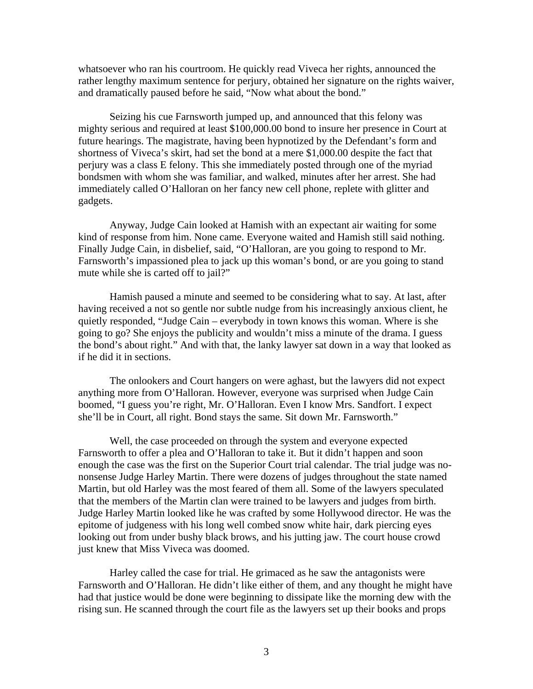whatsoever who ran his courtroom. He quickly read Viveca her rights, announced the rather lengthy maximum sentence for perjury, obtained her signature on the rights waiver, and dramatically paused before he said, "Now what about the bond."

Seizing his cue Farnsworth jumped up, and announced that this felony was mighty serious and required at least \$100,000.00 bond to insure her presence in Court at future hearings. The magistrate, having been hypnotized by the Defendant's form and shortness of Viveca's skirt, had set the bond at a mere \$1,000.00 despite the fact that perjury was a class E felony. This she immediately posted through one of the myriad bondsmen with whom she was familiar, and walked, minutes after her arrest. She had immediately called O'Halloran on her fancy new cell phone, replete with glitter and gadgets.

Anyway, Judge Cain looked at Hamish with an expectant air waiting for some kind of response from him. None came. Everyone waited and Hamish still said nothing. Finally Judge Cain, in disbelief, said, "O'Halloran, are you going to respond to Mr. Farnsworth's impassioned plea to jack up this woman's bond, or are you going to stand mute while she is carted off to jail?"

Hamish paused a minute and seemed to be considering what to say. At last, after having received a not so gentle nor subtle nudge from his increasingly anxious client, he quietly responded, "Judge Cain – everybody in town knows this woman. Where is she going to go? She enjoys the publicity and wouldn't miss a minute of the drama. I guess the bond's about right." And with that, the lanky lawyer sat down in a way that looked as if he did it in sections.

The onlookers and Court hangers on were aghast, but the lawyers did not expect anything more from O'Halloran. However, everyone was surprised when Judge Cain boomed, "I guess you're right, Mr. O'Halloran. Even I know Mrs. Sandfort. I expect she'll be in Court, all right. Bond stays the same. Sit down Mr. Farnsworth."

Well, the case proceeded on through the system and everyone expected Farnsworth to offer a plea and O'Halloran to take it. But it didn't happen and soon enough the case was the first on the Superior Court trial calendar. The trial judge was nononsense Judge Harley Martin. There were dozens of judges throughout the state named Martin, but old Harley was the most feared of them all. Some of the lawyers speculated that the members of the Martin clan were trained to be lawyers and judges from birth. Judge Harley Martin looked like he was crafted by some Hollywood director. He was the epitome of judgeness with his long well combed snow white hair, dark piercing eyes looking out from under bushy black brows, and his jutting jaw. The court house crowd just knew that Miss Viveca was doomed.

Harley called the case for trial. He grimaced as he saw the antagonists were Farnsworth and O'Halloran. He didn't like either of them, and any thought he might have had that justice would be done were beginning to dissipate like the morning dew with the rising sun. He scanned through the court file as the lawyers set up their books and props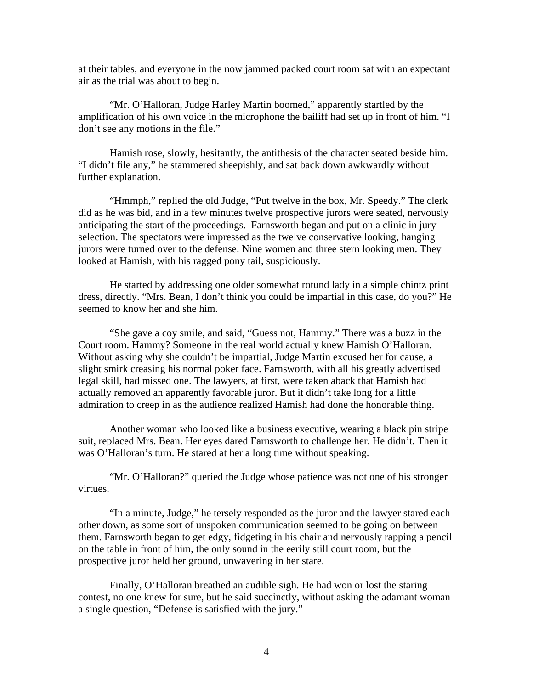at their tables, and everyone in the now jammed packed court room sat with an expectant air as the trial was about to begin.

"Mr. O'Halloran, Judge Harley Martin boomed," apparently startled by the amplification of his own voice in the microphone the bailiff had set up in front of him. "I don't see any motions in the file."

Hamish rose, slowly, hesitantly, the antithesis of the character seated beside him. "I didn't file any," he stammered sheepishly, and sat back down awkwardly without further explanation.

"Hmmph," replied the old Judge, "Put twelve in the box, Mr. Speedy." The clerk did as he was bid, and in a few minutes twelve prospective jurors were seated, nervously anticipating the start of the proceedings. Farnsworth began and put on a clinic in jury selection. The spectators were impressed as the twelve conservative looking, hanging jurors were turned over to the defense. Nine women and three stern looking men. They looked at Hamish, with his ragged pony tail, suspiciously.

He started by addressing one older somewhat rotund lady in a simple chintz print dress, directly. "Mrs. Bean, I don't think you could be impartial in this case, do you?" He seemed to know her and she him.

"She gave a coy smile, and said, "Guess not, Hammy." There was a buzz in the Court room. Hammy? Someone in the real world actually knew Hamish O'Halloran. Without asking why she couldn't be impartial, Judge Martin excused her for cause, a slight smirk creasing his normal poker face. Farnsworth, with all his greatly advertised legal skill, had missed one. The lawyers, at first, were taken aback that Hamish had actually removed an apparently favorable juror. But it didn't take long for a little admiration to creep in as the audience realized Hamish had done the honorable thing.

Another woman who looked like a business executive, wearing a black pin stripe suit, replaced Mrs. Bean. Her eyes dared Farnsworth to challenge her. He didn't. Then it was O'Halloran's turn. He stared at her a long time without speaking.

"Mr. O'Halloran?" queried the Judge whose patience was not one of his stronger virtues.

"In a minute, Judge," he tersely responded as the juror and the lawyer stared each other down, as some sort of unspoken communication seemed to be going on between them. Farnsworth began to get edgy, fidgeting in his chair and nervously rapping a pencil on the table in front of him, the only sound in the eerily still court room, but the prospective juror held her ground, unwavering in her stare.

Finally, O'Halloran breathed an audible sigh. He had won or lost the staring contest, no one knew for sure, but he said succinctly, without asking the adamant woman a single question, "Defense is satisfied with the jury."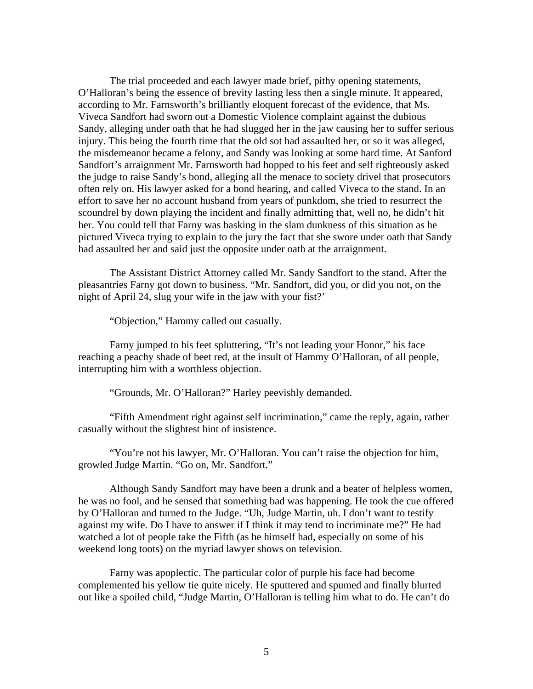The trial proceeded and each lawyer made brief, pithy opening statements, O'Halloran's being the essence of brevity lasting less then a single minute. It appeared, according to Mr. Farnsworth's brilliantly eloquent forecast of the evidence, that Ms. Viveca Sandfort had sworn out a Domestic Violence complaint against the dubious Sandy, alleging under oath that he had slugged her in the jaw causing her to suffer serious injury. This being the fourth time that the old sot had assaulted her, or so it was alleged, the misdemeanor became a felony, and Sandy was looking at some hard time. At Sanford Sandfort's arraignment Mr. Farnsworth had hopped to his feet and self righteously asked the judge to raise Sandy's bond, alleging all the menace to society drivel that prosecutors often rely on. His lawyer asked for a bond hearing, and called Viveca to the stand. In an effort to save her no account husband from years of punkdom, she tried to resurrect the scoundrel by down playing the incident and finally admitting that, well no, he didn't hit her. You could tell that Farny was basking in the slam dunkness of this situation as he pictured Viveca trying to explain to the jury the fact that she swore under oath that Sandy had assaulted her and said just the opposite under oath at the arraignment.

The Assistant District Attorney called Mr. Sandy Sandfort to the stand. After the pleasantries Farny got down to business. "Mr. Sandfort, did you, or did you not, on the night of April 24, slug your wife in the jaw with your fist?'

"Objection," Hammy called out casually.

Farny jumped to his feet spluttering, "It's not leading your Honor," his face reaching a peachy shade of beet red, at the insult of Hammy O'Halloran, of all people, interrupting him with a worthless objection.

"Grounds, Mr. O'Halloran?" Harley peevishly demanded.

"Fifth Amendment right against self incrimination," came the reply, again, rather casually without the slightest hint of insistence.

"You're not his lawyer, Mr. O'Halloran. You can't raise the objection for him, growled Judge Martin. "Go on, Mr. Sandfort."

Although Sandy Sandfort may have been a drunk and a beater of helpless women, he was no fool, and he sensed that something bad was happening. He took the cue offered by O'Halloran and turned to the Judge. "Uh, Judge Martin, uh. I don't want to testify against my wife. Do I have to answer if I think it may tend to incriminate me?" He had watched a lot of people take the Fifth (as he himself had, especially on some of his weekend long toots) on the myriad lawyer shows on television.

Farny was apoplectic. The particular color of purple his face had become complemented his yellow tie quite nicely. He sputtered and spumed and finally blurted out like a spoiled child, "Judge Martin, O'Halloran is telling him what to do. He can't do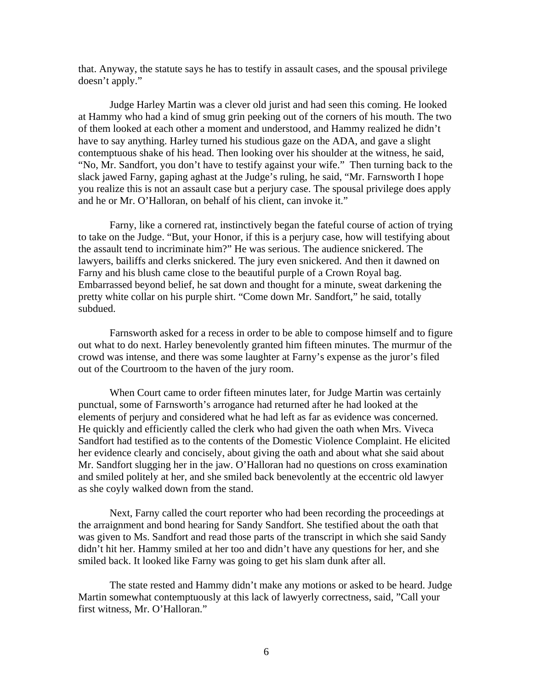that. Anyway, the statute says he has to testify in assault cases, and the spousal privilege doesn't apply."

Judge Harley Martin was a clever old jurist and had seen this coming. He looked at Hammy who had a kind of smug grin peeking out of the corners of his mouth. The two of them looked at each other a moment and understood, and Hammy realized he didn't have to say anything. Harley turned his studious gaze on the ADA, and gave a slight contemptuous shake of his head. Then looking over his shoulder at the witness, he said, "No, Mr. Sandfort, you don't have to testify against your wife." Then turning back to the slack jawed Farny, gaping aghast at the Judge's ruling, he said, "Mr. Farnsworth I hope you realize this is not an assault case but a perjury case. The spousal privilege does apply and he or Mr. O'Halloran, on behalf of his client, can invoke it."

Farny, like a cornered rat, instinctively began the fateful course of action of trying to take on the Judge. "But, your Honor, if this is a perjury case, how will testifying about the assault tend to incriminate him?" He was serious. The audience snickered. The lawyers, bailiffs and clerks snickered. The jury even snickered. And then it dawned on Farny and his blush came close to the beautiful purple of a Crown Royal bag. Embarrassed beyond belief, he sat down and thought for a minute, sweat darkening the pretty white collar on his purple shirt. "Come down Mr. Sandfort," he said, totally subdued.

Farnsworth asked for a recess in order to be able to compose himself and to figure out what to do next. Harley benevolently granted him fifteen minutes. The murmur of the crowd was intense, and there was some laughter at Farny's expense as the juror's filed out of the Courtroom to the haven of the jury room.

When Court came to order fifteen minutes later, for Judge Martin was certainly punctual, some of Farnsworth's arrogance had returned after he had looked at the elements of perjury and considered what he had left as far as evidence was concerned. He quickly and efficiently called the clerk who had given the oath when Mrs. Viveca Sandfort had testified as to the contents of the Domestic Violence Complaint. He elicited her evidence clearly and concisely, about giving the oath and about what she said about Mr. Sandfort slugging her in the jaw. O'Halloran had no questions on cross examination and smiled politely at her, and she smiled back benevolently at the eccentric old lawyer as she coyly walked down from the stand.

Next, Farny called the court reporter who had been recording the proceedings at the arraignment and bond hearing for Sandy Sandfort. She testified about the oath that was given to Ms. Sandfort and read those parts of the transcript in which she said Sandy didn't hit her. Hammy smiled at her too and didn't have any questions for her, and she smiled back. It looked like Farny was going to get his slam dunk after all.

The state rested and Hammy didn't make any motions or asked to be heard. Judge Martin somewhat contemptuously at this lack of lawyerly correctness, said, "Call your first witness, Mr. O'Halloran."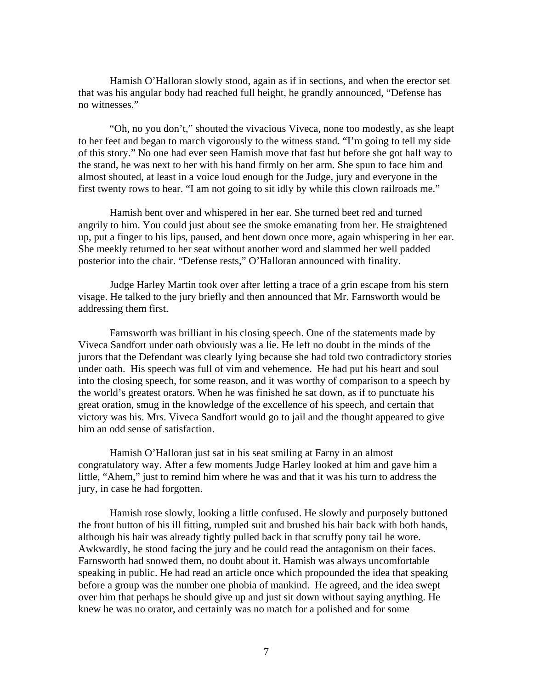Hamish O'Halloran slowly stood, again as if in sections, and when the erector set that was his angular body had reached full height, he grandly announced, "Defense has no witnesses."

"Oh, no you don't," shouted the vivacious Viveca, none too modestly, as she leapt to her feet and began to march vigorously to the witness stand. "I'm going to tell my side of this story." No one had ever seen Hamish move that fast but before she got half way to the stand, he was next to her with his hand firmly on her arm. She spun to face him and almost shouted, at least in a voice loud enough for the Judge, jury and everyone in the first twenty rows to hear. "I am not going to sit idly by while this clown railroads me."

Hamish bent over and whispered in her ear. She turned beet red and turned angrily to him. You could just about see the smoke emanating from her. He straightened up, put a finger to his lips, paused, and bent down once more, again whispering in her ear. She meekly returned to her seat without another word and slammed her well padded posterior into the chair. "Defense rests," O'Halloran announced with finality.

Judge Harley Martin took over after letting a trace of a grin escape from his stern visage. He talked to the jury briefly and then announced that Mr. Farnsworth would be addressing them first.

Farnsworth was brilliant in his closing speech. One of the statements made by Viveca Sandfort under oath obviously was a lie. He left no doubt in the minds of the jurors that the Defendant was clearly lying because she had told two contradictory stories under oath. His speech was full of vim and vehemence. He had put his heart and soul into the closing speech, for some reason, and it was worthy of comparison to a speech by the world's greatest orators. When he was finished he sat down, as if to punctuate his great oration, smug in the knowledge of the excellence of his speech, and certain that victory was his. Mrs. Viveca Sandfort would go to jail and the thought appeared to give him an odd sense of satisfaction.

Hamish O'Halloran just sat in his seat smiling at Farny in an almost congratulatory way. After a few moments Judge Harley looked at him and gave him a little, "Ahem," just to remind him where he was and that it was his turn to address the jury, in case he had forgotten.

Hamish rose slowly, looking a little confused. He slowly and purposely buttoned the front button of his ill fitting, rumpled suit and brushed his hair back with both hands, although his hair was already tightly pulled back in that scruffy pony tail he wore. Awkwardly, he stood facing the jury and he could read the antagonism on their faces. Farnsworth had snowed them, no doubt about it. Hamish was always uncomfortable speaking in public. He had read an article once which propounded the idea that speaking before a group was the number one phobia of mankind. He agreed, and the idea swept over him that perhaps he should give up and just sit down without saying anything. He knew he was no orator, and certainly was no match for a polished and for some